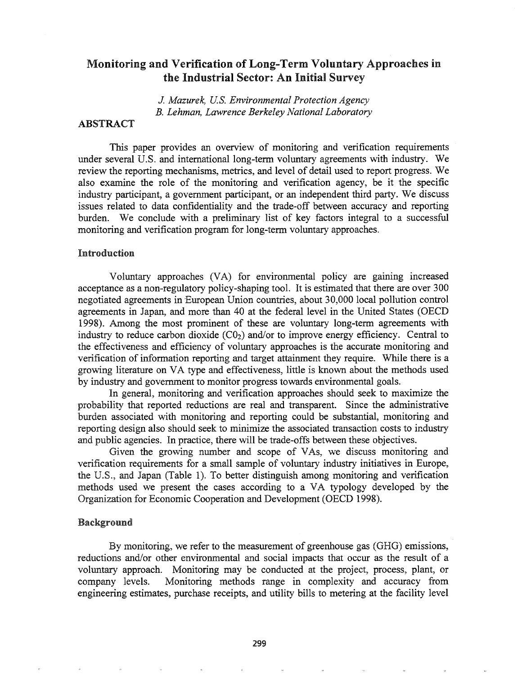# Monitoring and Verification of Long-Term Voluntary Approaches in the Industrial Sector: An Initial Survey

*J. Mazurek, U.S. Environmental Protection Agency B. Lehman, Lawrence Berkeley National Laboratory*

## ABSTRACT

This paper provides an overview of monitoring and verification requirements under several U.S. and international long-term voluntary agreements with industry. We review the reporting mechanisms, metrics, and level of detail used to report progress. We also examine the role of the monitoring and verification agency, be it the specific industry participant, a government participant, or an independent third party. We discuss issues related to data confidentiality and the trade-off between accuracy and reporting burden. We conclude with a preliminary list of key factors integral to a successful monitoring and verification program for long-term voluntary approaches.

## Introduction

Voluntary approaches (VA) for environmental policy are gaining increased acceptance as a non-regulatory policy-shaping tool. It is estimated that there are over 300 negotiated agreements in 'European Union countries, about 30,000 local pollution control agreements in Japan, and more than 40 at the federal level in the United States (OECD 1998). Among the most prominent of these are voluntary long-term agreements with industry to reduce carbon dioxide  $(C_0)$  and/or to improve energy efficiency. Central to the effectiveness and efficiency of voluntary approaches is the accurate monitoring and verification of information reporting and target attainment they require. While there is a growing literature on VA type and effectiveness, little is known about the methods used by industry and government to monitor progress towards environmental goals.

In general, monitoring and verification approaches should seek to maximize the probability that reported reductions are real and transparent. Since the administrative burden associated with monitoring and reporting could be substantial, monitoring and reporting design also should seek to minimize the associated transaction costs to industry and public agencies. In practice, there will be trade-offs between these objectives.

Given the growing number and scope of VAs, we discuss monitoring and verification requirements for a small sample of voluntary industry initiatives in Europe, the U.S., and Japan (Table I). To better distinguish among monitoring and verification methods used we present the cases according to a VA typology developed by the Organization for Economic Cooperation and Development (OECD 1998).

#### Background

By monitoring, we refer to the measurement of greenhouse gas (GHG) emissions, reductions and/or other environmental and social impacts that occur as the result of a voluntary approach. Monitoring may be conducted at the project, process, plant, or company levels. Monitoring methods range in complexity and accuracy from engineering estimates, purchase receipts, and utility bills to metering at the facility level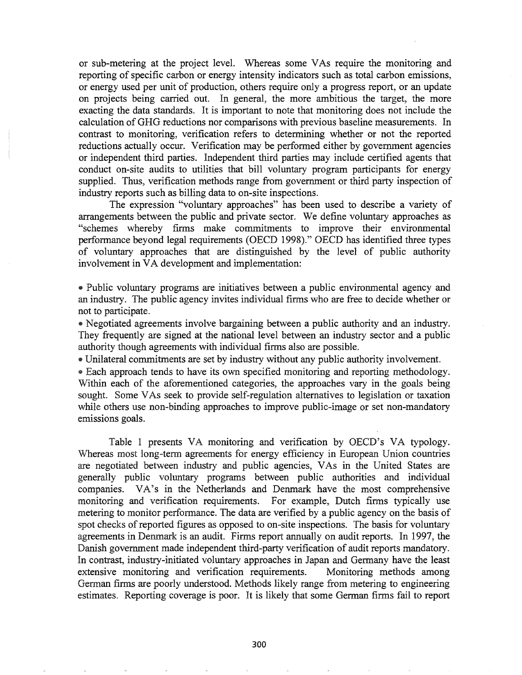or sub-metering at the project level. Whereas some VAs require the monitoring and reporting of specific carbon or energy intensity indicators such as total carbon emissions, or energy used per unit of production, others require only a progress report, or an update on projects being carried out. In general, the more ambitious the target, the more exacting the data standards. It is important to note that monitoring does not include the calculation ofGHG reductions nor comparisons with previous baseline measurements. In contrast to monitoring, verification refers to determining whether or not the reported reductions actually occur. Verification may be performed either by government agencies or independent third parties. Independent third parties may include certified agents that conduct on-site audits to utilities that bill voluntary program participants for energy supplied. Thus, verification methods range from government or third party inspection of industry reports such as billing data to on-site inspections.

The expression "voluntary approaches" has been used to describe a variety of arrangements between the public and private sector. We define voluntary approaches as "schemes whereby firms make commitments to improve their environmental performance beyond legal requirements (OECD 1998)." OECD has identified three types of voluntary approaches that are distinguished by the level of public authority involvement in VA development and implementation:

@ Public voluntary programs are initiatives between a public environmental agency and an industry. The public agency invites individual firms who are free to decide whether or not to participate.

<sup>e</sup> Negotiated agreements involve bargaining between a public authority and an industry. They frequently are signed at the national level between an industry sector and a public authority though agreements with individual firms also are possible.

@ Unilateral commitments are set by industry without any public authority involvement.

• Each approach tends to have its own specified monitoring and reporting methodology. Within each of the aforementioned categories, the approaches vary in the goals being sought. Some VAs seek to provide self-regulation alternatives to legislation or taxation while others use non-binding approaches to improve public-image or set non-mandatory emissions goals.

Table 1 presents VA monitoring and verification by OECD's VA typology. \iVhereas most long-term agreements for energy efficiency in European Union countries are negotiated between industry and public agencies, VAs in the United States are generally public voluntary programs between public authorities and individual companies. VA's in the Netherlands and Denmark have the most comprehensive monitoring and verification requirements. For example, Dutch firms typically use metering to monitor performance. The data are verified by a public agency on the basis of spot checks of reported figures as opposed to on-site inspections. The basis for voluntary agreements in Denmark is an audit. Firms report annually on audit reports. In 1997, the Danish government made independent third-party verification of audit reports mandatory. In contrast, industry-initiated voluntary approaches in Japan and Germany have the least extensive monitoring and verification requirements.. Monitoring methods among German finns are poorly understood. Methods likely range from metering to engineering estimates. Reporting coverage is poor.. It is likely that some German firms fail to report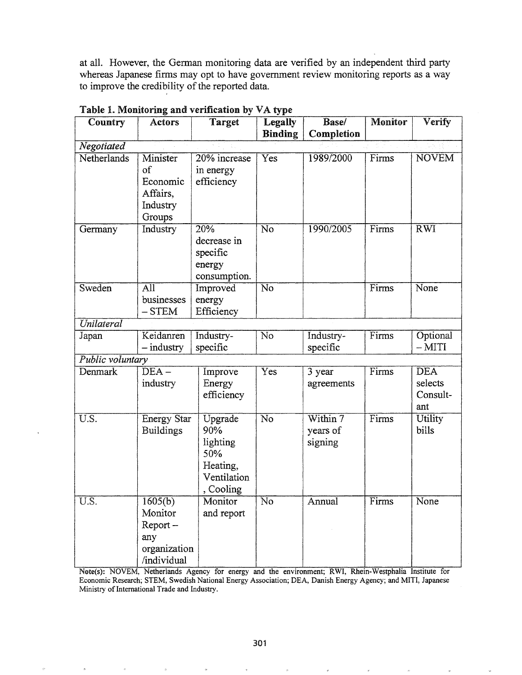at all. However, the German monitoring data are verified by an independent third party whereas Japanese firms may opt to have government review monitoring reports as a way to improve the credibility of the reported data.

| Country                    | <b>Actors</b>                                                          | <b>Target</b>                                                             | <b>Legally</b>            | Base/                           | <b>Monitor</b>              | Verify                                   |
|----------------------------|------------------------------------------------------------------------|---------------------------------------------------------------------------|---------------------------|---------------------------------|-----------------------------|------------------------------------------|
|                            |                                                                        |                                                                           | <b>Binding</b>            | Completion                      |                             |                                          |
| Negotiated                 |                                                                        |                                                                           |                           |                                 |                             |                                          |
| Netherlands                | Minister<br>of<br>Economic<br>Affairs,<br>Industry<br>Groups           | 20% increase<br>in energy<br>efficiency                                   | $\overline{\mathrm{Yes}}$ | 1989/2000                       | Firms                       | <b>NOVEM</b>                             |
| Germany                    | Industry                                                               | 20%<br>decrease in<br>specific<br>energy<br>consumption.                  | No                        | 1990/2005                       | $\overline{\mathrm{Firms}}$ | $\overline{\mathrm{RWI}}$                |
| Sweden                     | $\overline{\text{All}}$<br>businesses<br>$-$ STEM                      | Improved<br>energy<br>Efficiency                                          | $\overline{\text{No}}$    |                                 | Firms                       | None                                     |
| Unilateral                 |                                                                        |                                                                           |                           |                                 |                             |                                          |
| Japan                      | Keidanren<br>$-$ industry                                              | Industry-<br>specific                                                     | $\overline{\text{No}}$    | Industry-<br>specific           | Firms                       | Optional<br>$-MITI$                      |
| Public voluntary           |                                                                        |                                                                           |                           |                                 |                             |                                          |
| Denmark                    | $\overline{\text{DEA}}$ –<br>industry                                  | Improve<br>Energy<br>efficiency                                           | $\overline{\mathrm{Yes}}$ | 3 year<br>agreements            | Firms                       | <b>DEA</b><br>selects<br>Consult-<br>ant |
| $\overline{\mathrm{U.S.}}$ | <b>Energy Star</b><br><b>Buildings</b>                                 | Upgrade<br>90%<br>lighting<br>50%<br>Heating,<br>Ventilation<br>, Cooling | $\overline{\text{No}}$    | Within 7<br>years of<br>signing | Firms                       | Utility<br>bills                         |
| U.S.                       | 1605(b)<br>Monitor<br>$Report -$<br>any<br>organization<br>/individual | Monitor<br>and report                                                     | $\overline{\text{No}}$    | Annual                          | Firms                       | None                                     |

Table I. Monitoring and verification by VA type

Note(s): NOVEM, Netherlands Agency for energy and the environment; RWI, Rhein-Westphalia Institute for Economic Research; STEM, Swedish National Energy Association; DEA, Danish Energy Agency; and MITI, Japanese Ministry of International Trade and Industry.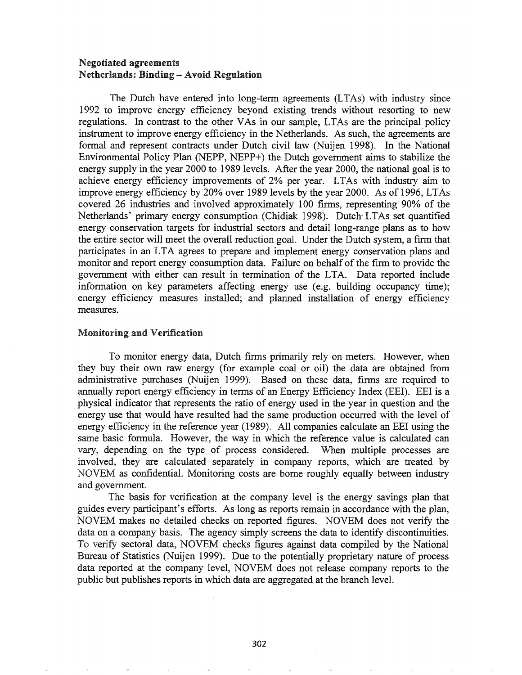## Negotiated agreements Netherlands: Binding - Avoid Regulation

The Dutch have entered into long-term agreements (LTAs) with industry since 1992 to improve energy efficiency beyond existing trends without resorting to new regulations. In contrast to the other VAs in our sample, LTAs are the principal policy instrument to improve energy efficiency in the Netherlands. As such, the agreements are formal and represent contracts under Dutch civil law (Nuijen 1998). In the National Environmental Policy Plan (NEPP, NEPP+) the Dutch government aims to stabilize the energy supply in the year 2000 to 1989 levels. After the year 2000, the national goal is to achieve energy efficiency improvements of 2% per year. LTAs with industry aim to improve energy efficiency by 20% over 1989 levels by the year 2000. As of 1996, LTAs covered 26 industries and involved approximately 100 firms, representing 90% of the Netherlands' primary energy consumption (Chidiak 1998). Dutch- LTAs set quantified energy conservation targets for industrial sectors and detail long-range plans as to how the entire sector will meet the overall reduction goal. Under the Dutch system, a firm that participates in an LTA agrees to prepare and implement energy conservation plans and monitor and report energy consumption data. Failure on behalf of the firm to provide the government with either can result in termination of the LTA. Data reported include information on key parameters affecting energy use (e.g. building occupancy time); . energy efficiency measures installed; and planned installation of energy efficiency measures.

## Monitoring and Verification

To monitor energy data, Dutch firms primarily rely on meters. However, when they buy their own raw energy (for example coal or oil) the data are obtained from administrative purchases (Nuijen 1999). Based on these data, firms are required to annually report energy efficiency in tenns of an Energy Efficiency Index (EEl). EEl is a physical indicator that represents the ratio of energy used in the year in question and the energy use that would have resulted had the same production occurred with the level of energy efficiency in the reference year (1989). All companies calculate an EEl using the same basic formula. However, the way in which the reference value is calculated can vary, depending on the type of process considered. When multiple processes are involved, they are calculated separately in company reports, which are treated by NOVEM as confidential. Monitoring costs are borne roughly equally between industry and government.

The basis for verification at the company level is the energy savings plan that guides every participant's efforts. As long as reports remain in accordance with the plan, NOVEM makes no detailed checks on reported figures. NOVEM does not verify the' data on a company basis. The agency simply screens the data to identify discontinuities. To verify sectoral data, NOVEM checks figures against data compiled by the National Bureau of Statistics (Nuijen 1999). Due to the potentially proprietary nature of process data reported at the company level, NOVEM does not release company reports to the public but publishes reports in which data are aggregated at the branch leveL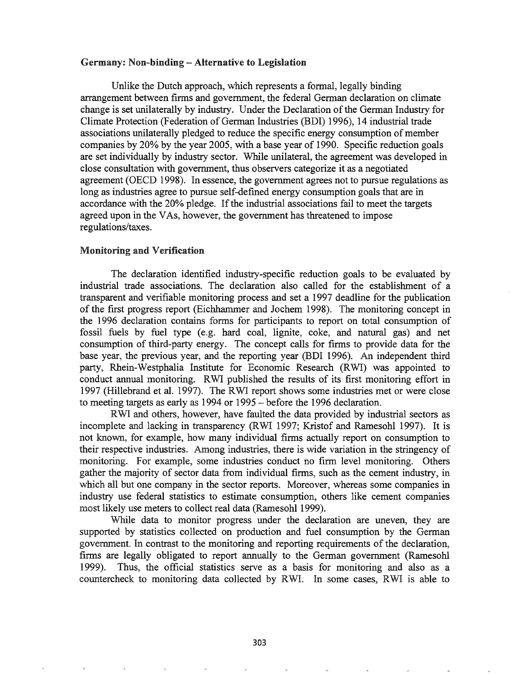#### Germany: Non-binding - Alternative to Legislation

Unlike the Dutch approach, which represents a formal, legally binding arrangement between firms and government, the federal German declaration on climate change is set unilaterally by industry. Under the Declaration of the German Industry for Climate Protection (Federation of German Industries (BDI) 1996), 14 industrial trade associations unilaterally pledged to reduce the specific energy consumption of member companies by 20% by the year 2005, with a base year of 1990. Specific reduction goals are set individually by industry sector. While unilateral, the agreement was developed in close consultation with government, thus observers categorize it as a negotiated agreement (OECD 1998). In essence, the government agrees not to pursue regulations as long as industries agree to pursue self-defined energy consumption goals that are in accordance with the 20% pledge. Ifthe industrial associations fail to meet the targets agreed upon in the VAs, however, the government has threatened to impose regulations/taxes.

#### Monitoring and Verification

The declaration identified industry-specific reduction goals to be evaluated by industrial trade associations. The declaration also called for the establishment of a transparent and verifiable monitoring process and set a 1997 deadline for the publication of the first progress report (Eichhammer and Jochem 1998). The monitoring concept in the 1996 declaration contains forms for participants to report on total consumption of fossil fuels by fuel type (e.g. hard coal, lignite, coke, and natural gas) and net consumption of third-party energy. The concept calls for firms to provide data for the base year, the previous year, and the reporting year (BDI 1996). An independent third party, Rhein-Westphalia Institute for Economic Research (RWI) was appointed to conduct annual monitoring. RWI published the results of its first monitoring effort in 1997 (Hillebrand et al. 1997). The RWI report shows some industries met or were close to meeting targets as early as 1994 or 1995 - before the 1996 declaration.

RWI and others, however, have faulted the data provided by industrial sectors as incomplete and lacking in transparency (RWI 1997; Kristof and Ramesohl 1997). It is not known, for example, how many individual firms actually report on consumption to their respective industries. Among industries, there is wide variation in the stringency of monitoring. For example, some industries conduct no firm level monitoring. Others gather the majority of sector data from individual firms, such as the cement industry, in which all but one company in the sector reports. Moreover, whereas some companies in industry use federal statistics to estimate consumption, others like cement companies most likely use meters to collect real data (Ramesohl 1999).

While data to monitor progress under the declaration are uneven, they are supported by statistics collected on production and fuel consumption by the German government. In contrast to the monitoring and reporting requirements of the declaration, firms are legally obligated to report annually to the German government (Ramesohl 1999). Thus, the official statistics serve as a basis for monitoring and also as a countercheck to monitoring data collected by RWI. In some cases, RWI is able to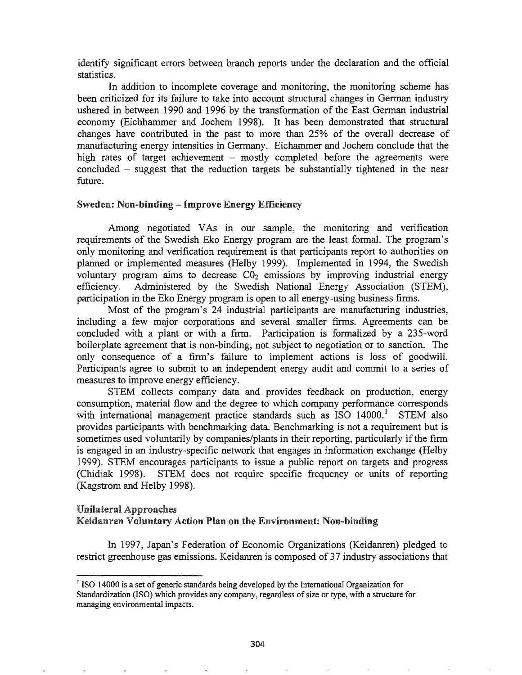identify significant errors between branch reports under the declaration and the official statistics.

In addition to incomplete coverage and monitoring, the monitoring scheme has been criticized for its failure to take into account structural changes in German industry ushered in between 1990 and 1996 by the transformation of the East German industrial economy (Eichhammer and Jochem 1998). It has been demonstrated that structural changes have contributed in the past to more than 25% of the overall decrease of manufacturing energy intensities in Germany. Eichammer and Jochem conclude that the high rates of target achievement - mostly completed before the agreements were concluded - suggest that the reduction targets be substantially tightened in the near future.

## Sweden: Non-binding - Improve Energy Efficiency

Among negotiated VAs in our sample, the monitoring and verification requirements of the Swedish Eko Energy program are the least formal. The program's only monitoring and verification requirement is that participants report to authorities on planned or implemented measures (Helby 1999). Implemented in 1994, the Swedish voluntary program aims to decrease  $C_0$  emissions by improving industrial energy efficiency. Administered by the Swedish National Energy Association (STEM), participation in the Eko Energy program is open to all energy-using business firms.

Most of the program's 24 industrial participants are manufacturing industries, including a few major corporations and several smaller firms. Agreements can be concluded with a plant or with a firm. Participation is formalized by a 235-word boilerplate agreement that is non-binding, not subject to negotiation or to sanction. The only consequence of a firm's failure to implement actions is loss of goodwilL Participants agree to submit to an independent energy audit and commit to a series of measures to improve energy efficiency.

STEM collects company data and provides feedback on production, energy consumption, material flow and the degree to which company performance corresponds with international management practice standards such as ISO 14000.<sup>1</sup> STEM also provides participants with benchmarking data. Benchmarking is not a requirement but is sometimes used voluntarily by companies/plants in their reporting, particularly if the firm is engaged in an industry-specific network that engages in information exchange (Helby 1999). STEM encourages participants to issue a public report on targets and progress (Chidiak 1998). STEM does not require specific frequency or units of reporting (Kagstrom and Helby 1998).

## Unilateral Approaches Keidanren Voluntary Action Plan on the Environment: Non-binding

1997, Japan's Federation of Economic Organizations (Keidanren) pledged to restrict greenhouse gas emissions. Keidanren is composed of 37 industry associations that

 $<sup>1</sup>$  ISO 14000 is a set of generic standards being developed by the International Organization for</sup> Standardization (ISO) which provides any company, regardless of size or type, with a structure for managing environmental impacts.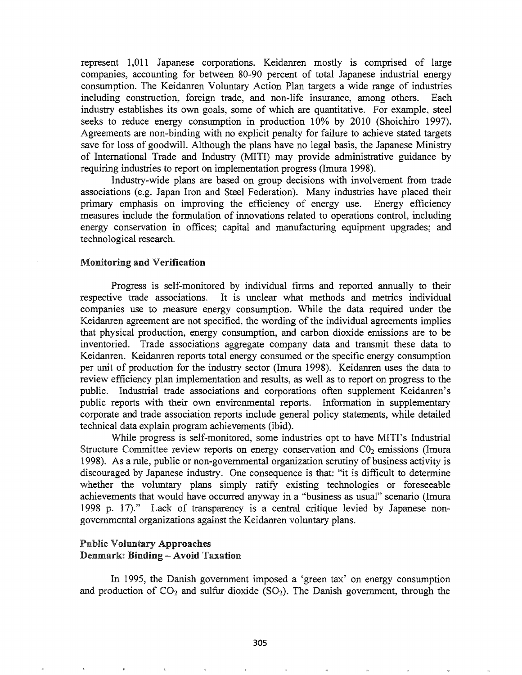represent 1,011 Japanese corporations. Keidanren mostly is comprised of large companies, accounting for between 80-90 percent of total Japanese industrial energy consumption. The Keidanren Voluntary Action Plan targets a wide range of industries including construction, foreign trade, and non-life insurance, among others. Each industry establishes its own goals, some of which are quantitative. For example, steel seeks to reduce energy consumption in production 10% by 2010 (Shoichiro 1997). Agreements are non-binding with no explicit penalty for failure to achieve stated targets save for loss of goodwill. Although the plans have no legal basis, the Japanese Ministry of International Trade and Industry (MITI) may provide administrative guidance by requiring industries to report on implementation progress (Imura 1998).

Industry-wide plans are based on group decisions with involvement from trade associations (e.g. Japan Iron and Steel Federation). Many industries have placed their primary emphasis on improving the efficiency of energy use. Energy efficiency measures include the formulation of innovations related to operations control, including energy conservation in offices; capital and manufacturing equipment upgrades; and technological research.

## Monitoring and Verification

Progress is self-monitored by individual firms and reported annually to their respective trade associations. It is unclear what methods and metrics individual companies use to measure energy consumption. While the data required under the Keidanren agreement are not specified, the wording of the individual agreements implies that physical production, energy consumption, and carbon dioxide emissions are to be inventoried. Trade associations aggregate company data and transmit these data to Keidanren. Keidanren reports total energy consumed or the specific energy consumption per unit of production for the industry sector (Imura 1998). Keidanren uses the data to review efficiency plan implementation and results, as well as to report on progress to the public. Industrial trade associations and corporations often supplement Keidanren's public reports with their own environmental reports. Information in supplementary corporate and trade association reports include general policy statements, while detailed technical data explain program achievements (ibid).

While progress is self-monitored, some industries opt to have MITI's Industrial Structure Committee review reports on energy conservation and  $\text{C}_2$  emissions (Imura 1998). As a rule, public or non-governmental organization scrutiny of business activity is discouraged by Japanese industry. One consequence is that: "it is difficult to determine whether the voluntary plans simply ratify existing technologies or foreseeable achievements that would have occurred anyway in a "business as usual" scenario (Imura 1998 p. 17)." Lack of transparency is a central critique levied by Japanese nongovernmental organizations against the Keidanren voluntary plans.

## Public Voluntary Approaches Denmark: Binding -- Avoid Taxation

In 1995, the Danish government imposed a 'green tax' on energy consumption and production of  $CO<sub>2</sub>$  and sulfur dioxide (SO<sub>2</sub>). The Danish government, through the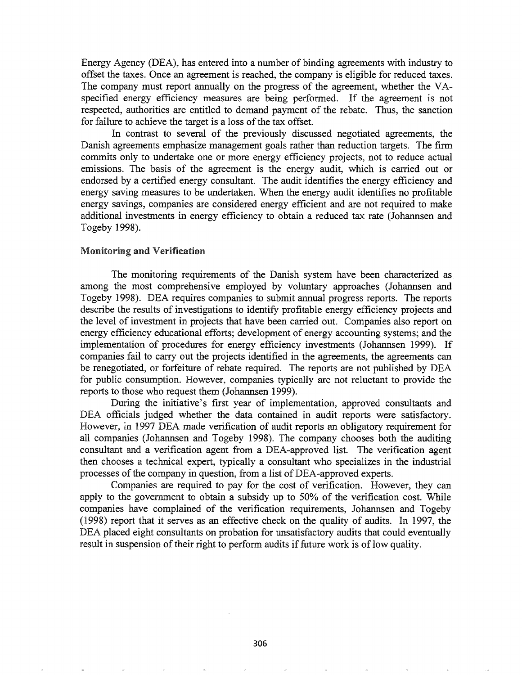Energy Agency (DEA), has entered into a number of binding agreements with industry to offset the taxes. Once an agreement is reached, the company is eligible for reduced taxes. The company must report annually on the progress of the agreement, whether the VAspecified energy efficiency measures are being performed. If the agreement is not respected, authorities are entitled to demand payment of the rebate. Thus, the sanction for failure to achieve the target is a loss of the tax offset.

In contrast to several of the previously discussed negotiated agreements, the Danish agreements emphasize management goals rather than reduction targets. The firm commits only to undertake one or more energy efficiency projects, not to reduce actual emissions. The basis of the agreement is the energy audit, which is carried out or endorsed by a certified energy consultant. The audit identifies the energy efficiency and energy saving measures to be undertaken. When the energy audit identifies no profitable energy savings, companies are considered energy efficient and are not required to make additional investments in energy efficiency to obtain a reduced tax rate (Johannsen and Togeby 1998).

#### Monitoring and Verification

The monitoring requirements of the Danish system have been characterized as. among the most comprehensive employed by voluntary approaches (Johannsen and Togeby 1998). DEA requires companies to submit annual progress reports. The reports describe the results of investigations to identify profitable energy efficiency projects and the level of investment in projects that have been carried out. Companies also report on energy efficiency educational efforts; development of energy accounting systems; and the implementation of procedures for energy efficiency investments (Johannsen 1999). If companies fail to carry out the projects identified in the agreements, the agreements can be renegotiated, or forfeiture of rebate required. The reports are not published by DEA for public consumption. However, companies typically are not reluctant to provide the reports to those who request them (Johannsen 1999).

During the initiative's first year of implementation, approved consultants and DEA officials judged whether the data contained in audit reports were satisfactory. However, in 1997 DEA made verification of audit reports an obligatory requirement for all companies (Johannsen and Togeby 1998). The company chooses both the auditing consultant and a verification agent from a DEA-approved list. The verification agent then chooses a technical expert, typically a consultant who specializes in the industrial processes of the company in question, from a list of DEA-approved experts.

Companies are required to pay for the cost of verification. However, they can apply to the government to obtain a subsidy up to 50% of the verification cost. While companies have complained of the verification requirements, Johannsen and Togeby (1998) report that it serves as an effective check on the quality of audits. In 1997, the DEA placed eight consultants on probation for unsatisfactory audits that could eventually result in suspension of their right to perform audits if future work is of low quality.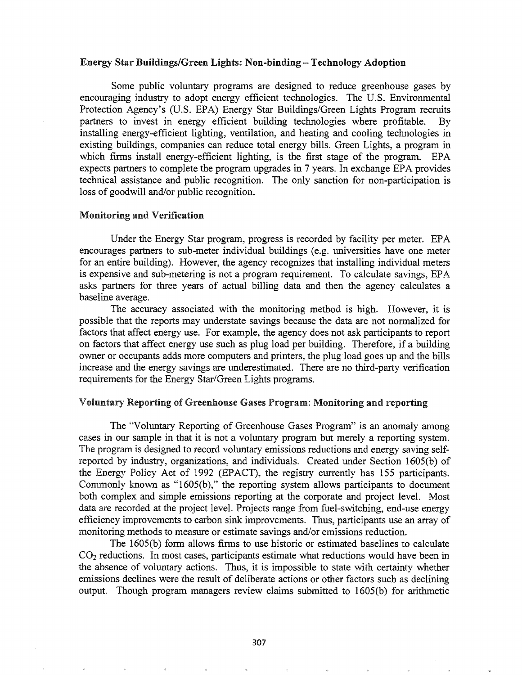## Energy Star Buildings/Green Lights: Non-binding - Technology Adoption

Some public voluntary programs are designed to reduce greenhouse gases by encouraging industry to adopt energy efficient technologies. The U.S. Environmental Protection Agency's (U.S. EPA) Energy Star Buildings/Green Lights Program recruits partners to invest in energy efficient building technologies where profitable. By installing energy-efficient lighting, ventilation, and heating and cooling technologies in existing buildings, companies can reduce total energy bills. Green Lights, a program in which firms install energy-efficient lighting, is the first stage of the program. EPA expects partners to complete the program upgrades in 7 years. In exchange EPA provides technical assistance and public recognition. The only sanction for non-participation is loss of goodwill and/or public recognition.

#### Monitoring and Verification

Under the Energy Star program, progress is recorded by facility per meter. EPA encourages partners to sub-meter individual buildings (e.g. universities have one meter for an entire building). However, the agency recognizes that installing individual meters is expensive and sub-metering is not a program requirement. To calculate savings, EPA asks partners for three years of actual billing data and then the agency calculates a baseline average.

The accuracy associated with the monitoring method is high. However, it is possible that the reports may understate savings because the data are not normalized for factors that affect energy use. For example, the agency does not ask participants to report on factors that affect energy use such as plug load per building. Therefore, if a building owner or occupants adds more computers and printers, the plug load goes up and the bills increase and the energy savings are underestimated. There are no third-party verification requirements for the Energy Star/Green Lights programs.

#### Voluntary Reporting of Greenhouse Gases Program: Monitoring and reporting

The "Voluntary Reporting of Greenhouse Gases Program" is an anomaly among cases in our sample in that it is not a voluntary program but merely a reporting system. The program is designed to record voluntary emissions reductions and energy saving selfreported by industry, organizations, and individuals. Created under Section 1605(b) of the Energy Policy Act of 1992 (EPACT), the registry currently has 155 participants. Commonly known as "1605(b)," the reporting system allows participants to document both complex and simple emissions reporting at the corporate and project level. Most data are recorded at the project level. Projects range from fuel-switching, end-use energy efficiency improvements to carbon sink improvements. Thus, participants use an array of monitoring methods to measure or estimate savings and/or emissions reduction.

The 1605(b) form allows firms to use historic or estimated baselines to calculate  $CO<sub>2</sub>$  reductions. In most cases, participants estimate what reductions would have been in the absence of voluntary actions. Thus, it is impossible to state with certainty whether emissions declines were the result of deliberate actions or other factors such as declining output. Though program managers review claims submitted to 1605(b) for arithmetic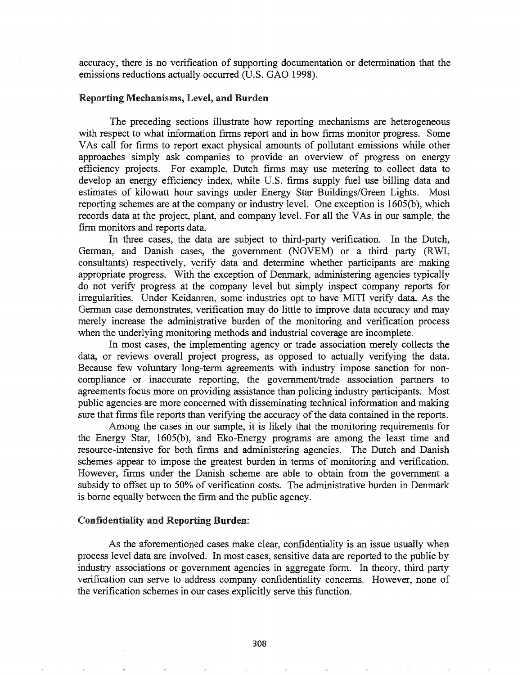accuracy, there is no verification of supporting documentation or determination that the emissions reductions actually occurred (U.S. GAO 1998).

## Reporting Mechanisms, Level, and Burden

The preceding sections illustrate how reporting mechanisms are heterogeneous with respect to what information firms report and in how firms monitor progress. Some VAs call for finns to report exact physical amounts of pollutant emissions while other approaches simply ask companies to provide an overview of progress on energy efficiency projects. For example, Dutch firms may use metering to collect data to develop an energy efficiency index, while U.S. firms supply fuel use billing data and estimates of kilowatt hour savings under Energy Star Buildings/Green Lights. Most reporting schemes are at the company or industry level. One exception is 1605(b), which records data at the project, plant, and company level. For all the VAs in our sample, the firm monitors and reports data.

In three cases, the data are subject to third-party verification. In the Dutch, German, and Danish cases, the government (NOVEM) or a third party (RWI, consultants) respectively, yerify data and determine whether participants are making appropriate progress. With the exception of Denmark, administering agencies typically do not verify progress at the company level but simply inspect company reports for irregularities. Under Keidanren, some industries opt to have MITI verify data. As the German case demonstrates, verification may do little to improve data accuracy and may merely increase the administrative burden of the monitoring and verification process when the underlying monitoring methods and industrial coverage are incomplete.

In most cases, the implementing agency or trade association merely collects the data, or reviews overall project progress, as opposed to actually verifying the data. Because few voluntary long-term agreements with industry impose sanction for noncompliance or inaccurate reporting, the government/trade association partners to agreements focus more on providing assistance than policing industry participants. Most public agencies are more concerned with disseminating technical information and making sure that firms file reports than verifying the accuracy of the data contained in the reports.

Among the cases in our sample, it is likely that the monitoring requirements for the Energy Star, 1605(b), and Eko-Energy programs are among the least time and resource-intensive for both firms and administering agencies. The Dutch and Danish schemes appear to impose the greatest burden in terms of monitoring and verification. However, firms under the Danish scheme are able to obtain from the government a subsidy to offset up to 50% of verification costs. The administrative burden in Denmark is borne equally between the firm and the public agency.

## Confidentiality and Reporting Burden:

As the aforementioned cases make clear, confidentiality is an issue usually when process level data are involved. In most cases, sensitive data are reported to the public by industry associations or government agencies in aggregate form. In theory, third party verification can serve to address company confidentiality concerns. However, none of the verification schemes in our cases explicitly serve this function.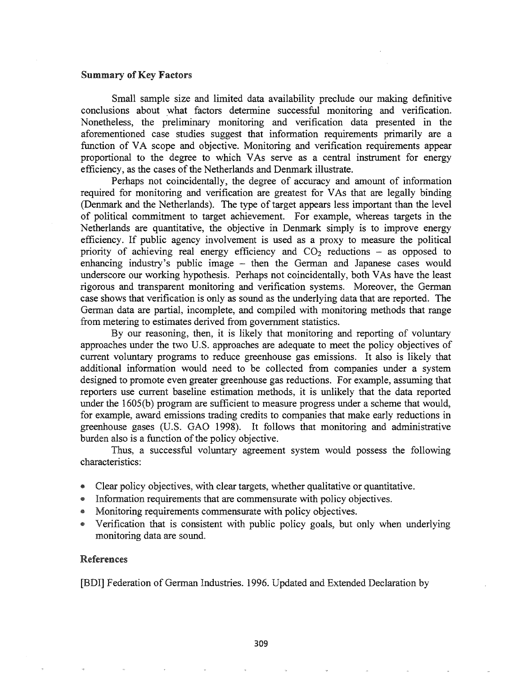### Summary of Key Factors

Small sample size and limited data availability preclude our making definitive conclusions about what factors determine successful monitoring and verification. Nonetheless, the preliminary monitoring and verification data presented in the aforementioned case studies suggest that information requirements primarily are a function of VA scope and objective. Monitoring and verification requirements appear proportional to the degree to which VAs serve as a central instrument for energy efficiency, as the cases of the Netherlands and Denmark illustrate.

Perhaps not coincidentally, the degree of accuracy and amount of information required for monitoring and verification are greatest for VAs that are legally binding (Denmark and the Netherlands). The type of target appears less important than the level of political commitment to target achievement. For example, whereas targets in the Netherlands are quantitative, the objective in Denmark simply is to improve energy efficiency. If public agency involvement is used as a proxy to measure the political priority of achieving real energy efficiency and  $CO<sub>2</sub>$  reductions – as opposed to enhancing industry's public image – then the German and Japanese cases would underscore our working hypothesis. Perhaps not coincidentally, both VAs have the least rigorous and transparent monitoring and verification systems. Moreover, the German case shows that verification is only as sound as the underlying data that are reported. The German data are partial, incomplete, and compiled with monitoring methods that range from metering to estimates derived from government statistics.

By our reasoning, then, it is likely that monitoring and reporting of voluntary approaches under the two U.S. approaches are adequate to meet the policy objectives of current voluntary programs to reduce greenhouse gas emissions. It also is likely that additional information would need to be collected from companies under a system designed to promote even greater greenhouse gas reductions.. For example, assuming that reporters use current baseline estimation methods, it is unlikely that the data reported under the 1605(b) program are sufficient to measure progress under a scheme that would, for example, award emissions trading credits to companies that make early reductions in greenhouse gases (U.S.. GAO 1998). It follows that monitoring and administrative burden also is a function of the policy objective.

Thus, a successful voluntary agreement system would possess the following characteristics:

- @ Clear policy objectives, with clear targets, whether qualitative or quantitative.
- ® Information requirements that are commensurate with policy objectives.
- Monitoring requirements commensurate with policy objectives.
- @ Verification that is consistent with public policy goals, but only when underlying monitoring data are sound..

### References

[BDI] Federation of German Industries. 1996. Updated and Extended Declaration by